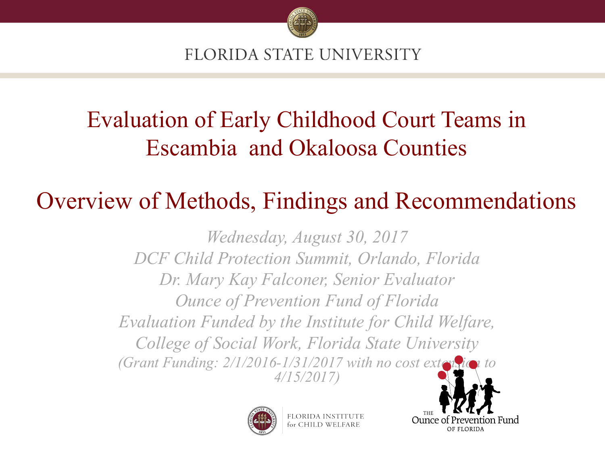

# Evaluation of Early Childhood Court Teams in Escambia and Okaloosa Counties

### Overview of Methods, Findings and Recommendations

*Wednesday, August 30, 2017 DCF Child Protection Summit, Orlando, Florida Dr. Mary Kay Falconer, Senior Evaluator Ounce of Prevention Fund of Florida Evaluation Funded by the Institute for Child Welfare, College of Social Work, Florida State University (Grant Funding: 2/1/2016-1/31/2017 with no cost extension to 4/15/2017)*



FLORIDA INSTIT for CHILD WE

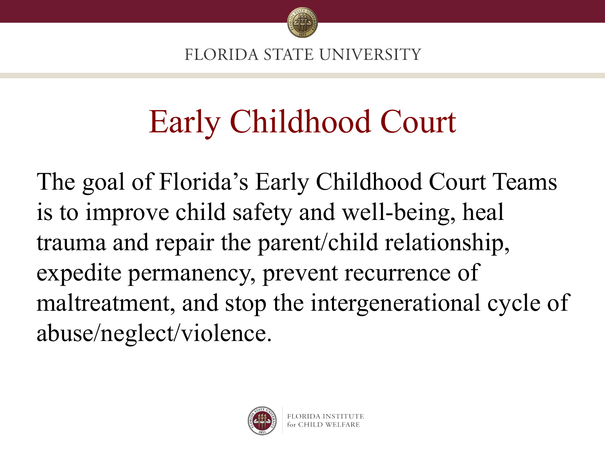

# Early Childhood Court

The goal of Florida's Early Childhood Court Teams is to improve child safety and well-being, heal trauma and repair the parent/child relationship, expedite permanency, prevent recurrence of maltreatment, and stop the intergenerational cycle of abuse/neglect/violence.

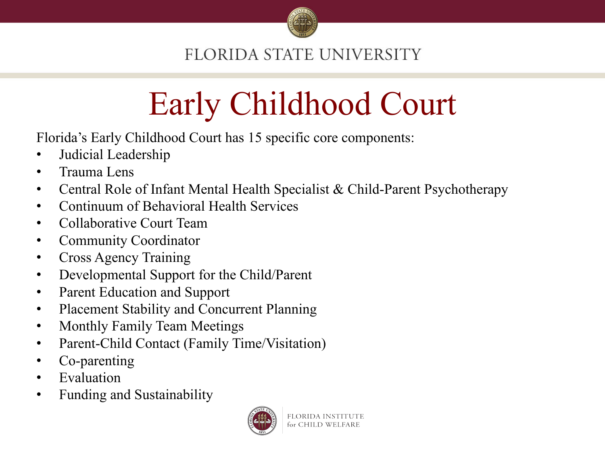

# Early Childhood Court

Florida's Early Childhood Court has 15 specific core components:

- Judicial Leadership
- Trauma Lens
- Central Role of Infant Mental Health Specialist & Child-Parent Psychotherapy
- Continuum of Behavioral Health Services
- Collaborative Court Team
- Community Coordinator
- Cross Agency Training
- Developmental Support for the Child/Parent
- Parent Education and Support
- Placement Stability and Concurrent Planning
- Monthly Family Team Meetings
- Parent-Child Contact (Family Time/Visitation)
- Co-parenting
- **Evaluation**
- Funding and Sustainability

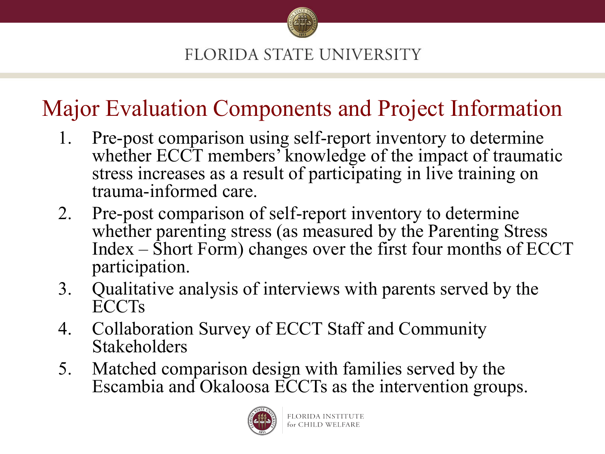

### Major Evaluation Components and Project Information

- 1. Pre-post comparison using self-report inventory to determine whether ECCT members' knowledge of the impact of traumatic stress increases as a result of participating in live training on trauma-informed care.
- 2. Pre-post comparison of self-report inventory to determine whether parenting stress (as measured by the Parenting Stress Index – Short Form) changes over the first four months of ECCT participation.
- 3. Qualitative analysis of interviews with parents served by the ECCTs
- 4. Collaboration Survey of ECCT Staff and Community Stakeholders
- 5. Matched comparison design with families served by the Escambia and Okaloosa ECCTs as the intervention groups.

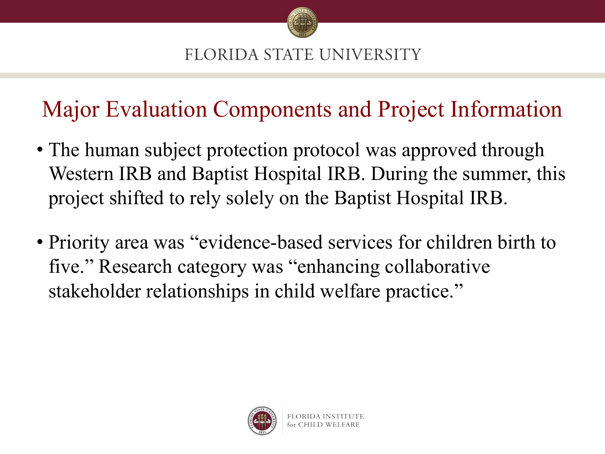

### Major Evaluation Components and Project Information

- The human subject protection protocol was approved through Western IRB and Baptist Hospital IRB. During the summer, this project shifted to rely solely on the Baptist Hospital IRB.
- Priority area was "evidence-based services for children birth to five." Research category was "enhancing collaborative stakeholder relationships in child welfare practice."

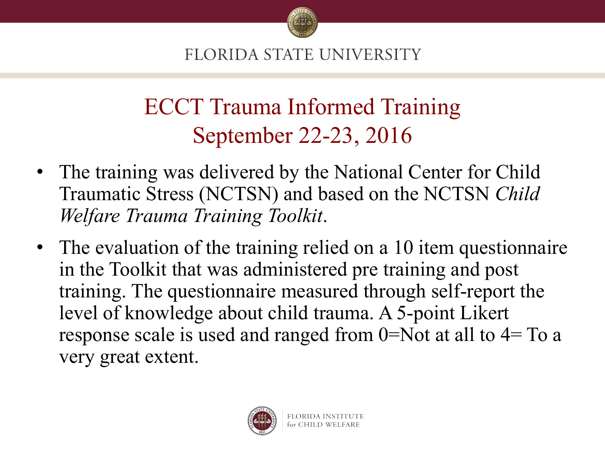

## ECCT Trauma Informed Training September 22-23, 2016

- The training was delivered by the National Center for Child Traumatic Stress (NCTSN) and based on the NCTSN *Child Welfare Trauma Training Toolkit*.
- The evaluation of the training relied on a 10 item questionnaire in the Toolkit that was administered pre training and post training. The questionnaire measured through self-report the level of knowledge about child trauma. A 5-point Likert response scale is used and ranged from 0=Not at all to 4= To a very great extent.

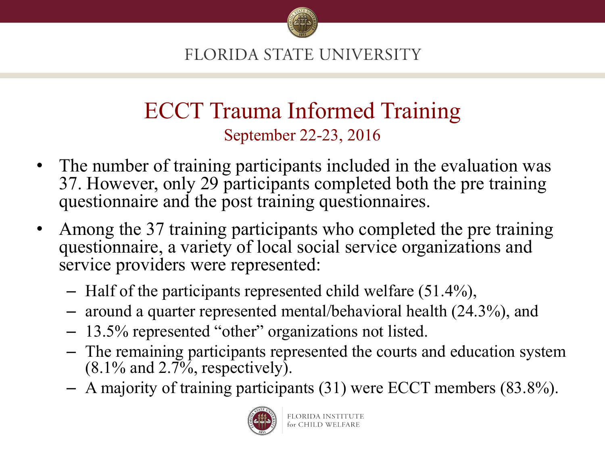

### ECCT Trauma Informed Training September 22-23, 2016

- The number of training participants included in the evaluation was 37. However, only 29 participants completed both the pre training questionnaire and the post training questionnaires.
- Among the 37 training participants who completed the pre training questionnaire, a variety of local social service organizations and service providers were represented:
	- Half of the participants represented child welfare (51.4%),
	- around a quarter represented mental/behavioral health (24.3%), and
	- 13.5% represented "other" organizations not listed.
	- The remaining participants represented the courts and education system  $(8.1\%$  and  $2.7\%$ , respectively).
	- A majority of training participants (31) were ECCT members (83.8%).

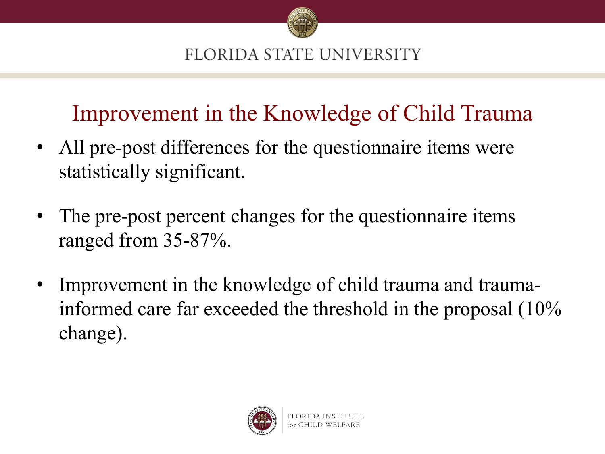

## Improvement in the Knowledge of Child Trauma

- All pre-post differences for the questionnaire items were statistically significant.
- The pre-post percent changes for the questionnaire items ranged from 35-87%.
- Improvement in the knowledge of child trauma and traumainformed care far exceeded the threshold in the proposal (10% change).

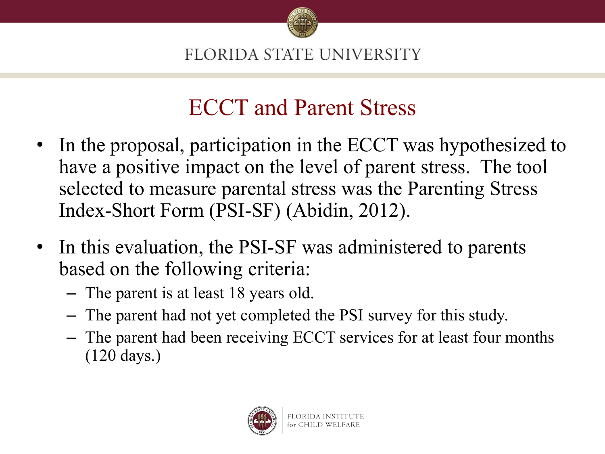

### ECCT and Parent Stress

- In the proposal, participation in the ECCT was hypothesized to have a positive impact on the level of parent stress. The tool selected to measure parental stress was the Parenting Stress Index-Short Form (PSI-SF) (Abidin, 2012).
- In this evaluation, the PSI-SF was administered to parents based on the following criteria:
	- The parent is at least 18 years old.
	- The parent had not yet completed the PSI survey for this study.
	- The parent had been receiving ECCT services for at least four months (120 days.)

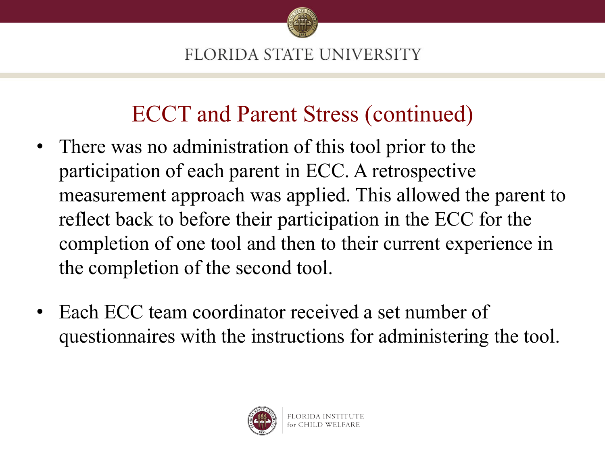

### ECCT and Parent Stress (continued)

- There was no administration of this tool prior to the participation of each parent in ECC. A retrospective measurement approach was applied. This allowed the parent to reflect back to before their participation in the ECC for the completion of one tool and then to their current experience in the completion of the second tool.
- Each ECC team coordinator received a set number of questionnaires with the instructions for administering the tool.

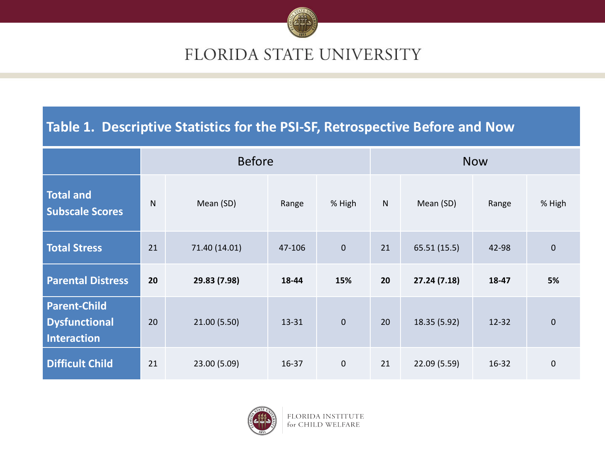

#### Table 1. Descriptive Statistics for the PSI-SF, Retrospective Before and Now

|                                                                   | <b>Before</b> |               |           |                | <b>Now</b> |              |           |             |
|-------------------------------------------------------------------|---------------|---------------|-----------|----------------|------------|--------------|-----------|-------------|
| <b>Total and</b><br><b>Subscale Scores</b>                        | $\mathsf{N}$  | Mean (SD)     | Range     | % High         | ${\sf N}$  | Mean (SD)    | Range     | % High      |
| <b>Total Stress</b>                                               | 21            | 71.40 (14.01) | 47-106    | $\overline{0}$ | 21         | 65.51 (15.5) | 42-98     | $\mathbf 0$ |
| <b>Parental Distress</b>                                          | 20            | 29.83 (7.98)  | 18-44     | 15%            | 20         | 27.24(7.18)  | 18-47     | 5%          |
| <b>Parent-Child</b><br><b>Dysfunctional</b><br><b>Interaction</b> | 20            | 21.00(5.50)   | 13-31     | $\mathbf 0$    | 20         | 18.35 (5.92) | $12 - 32$ | $\mathbf 0$ |
| <b>Difficult Child</b>                                            | 21            | 23.00 (5.09)  | $16 - 37$ | $\mathbf 0$    | 21         | 22.09 (5.59) | $16 - 32$ | 0           |



FLORIDA INSTITUTE for CHILD WELFARE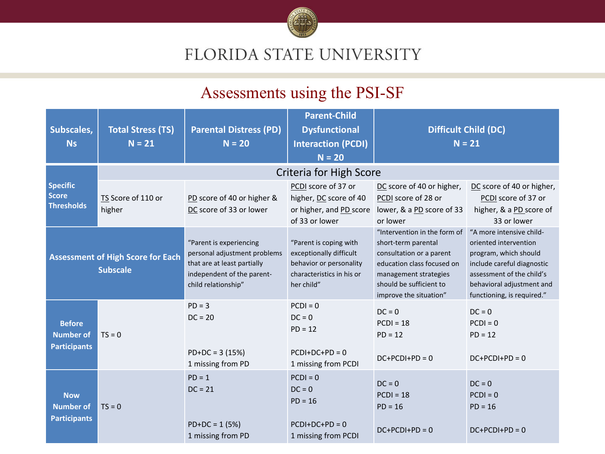

#### Assessments using the PSI-SF

| Subscales,<br><b>Ns</b>                                  | <b>Total Stress (TS)</b><br>$N = 21$                        | <b>Parental Distress (PD)</b><br>$N = 20$                                                                                                   | <b>Parent-Child</b><br><b>Dysfunctional</b><br><b>Interaction (PCDI)</b><br>$N = 20$                                    |                                                                                                                                                                                             | <b>Difficult Child (DC)</b><br>$N = 21$                                                                                                                                                          |
|----------------------------------------------------------|-------------------------------------------------------------|---------------------------------------------------------------------------------------------------------------------------------------------|-------------------------------------------------------------------------------------------------------------------------|---------------------------------------------------------------------------------------------------------------------------------------------------------------------------------------------|--------------------------------------------------------------------------------------------------------------------------------------------------------------------------------------------------|
|                                                          |                                                             |                                                                                                                                             | <b>Criteria for High Score</b>                                                                                          |                                                                                                                                                                                             |                                                                                                                                                                                                  |
| Specific<br><b>Score</b><br><b>Thresholds</b>            | TS Score of 110 or<br>higher                                | PD score of 40 or higher &<br>DC score of 33 or lower                                                                                       | PCDI score of 37 or<br>higher, DC score of 40<br>or higher, and PD score<br>of 33 or lower                              | DC score of 40 or higher,<br>PCDI score of 28 or<br>lower, & a PD score of 33<br>or lower                                                                                                   | DC score of 40 or higher,<br>PCDI score of 37 or<br>higher, & a PD score of<br>33 or lower                                                                                                       |
|                                                          | <b>Assessment of High Score for Each</b><br><b>Subscale</b> | "Parent is experiencing<br>personal adjustment problems<br>that are at least partially<br>independent of the parent-<br>child relationship" | "Parent is coping with<br>exceptionally difficult<br>behavior or personality<br>characteristics in his or<br>her child" | "Intervention in the form of<br>short-term parental<br>consultation or a parent<br>education class focused on<br>management strategies<br>should be sufficient to<br>improve the situation" | "A more intensive child-<br>oriented intervention<br>program, which should<br>include careful diagnostic<br>assessment of the child's<br>behavioral adjustment and<br>functioning, is required." |
| <b>Before</b><br><b>Number of</b><br><b>Participants</b> | $TS = 0$                                                    | $PD = 3$<br>$DC = 20$<br>$PD+DC = 3(15%)$<br>1 missing from PD                                                                              | $PCDI = 0$<br>$DC = 0$<br>$PD = 12$<br>$PCDI+DC+PD = 0$<br>1 missing from PCDI                                          | $DC = 0$<br>$PCDI = 18$<br>$PD = 12$<br>$DC+PCDI+PD = 0$                                                                                                                                    | $DC = 0$<br>$PCDI = 0$<br>$PD = 12$<br>$DC+PCDI+PD = 0$                                                                                                                                          |
| <b>Now</b><br><b>Number of</b><br><b>Participants</b>    | $TS = 0$                                                    | $PD = 1$<br>$DC = 21$<br>$PD+DC = 1 (5%)$<br>1 missing from PD                                                                              | $PCDI = 0$<br>$DC = 0$<br>$PD = 16$<br>$PCDI+DC+PD = 0$<br>1 missing from PCDI                                          | $DC = 0$<br>$PCDI = 18$<br>$PD = 16$<br>$DC+PCDI+PD = 0$                                                                                                                                    | $DC = 0$<br>$PCDI = 0$<br>$PD = 16$<br>$DC+PCDI+PD = 0$                                                                                                                                          |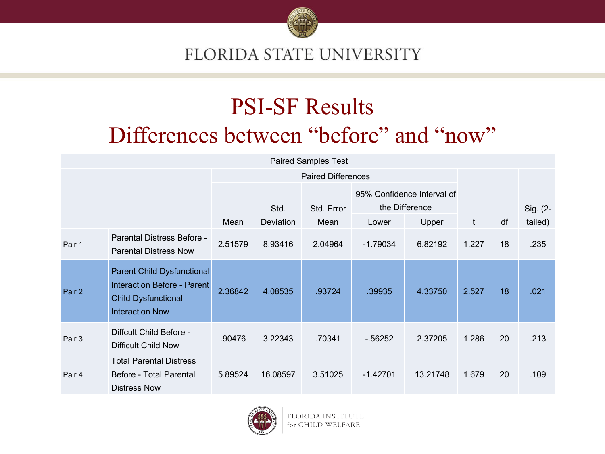

### PSI-SF Results Differences between "before" and "now"

| <b>Paired Samples Test</b> |                                                                                                                          |                           |           |            |                                              |          |              |    |          |
|----------------------------|--------------------------------------------------------------------------------------------------------------------------|---------------------------|-----------|------------|----------------------------------------------|----------|--------------|----|----------|
|                            |                                                                                                                          | <b>Paired Differences</b> |           |            |                                              |          |              |    |          |
|                            |                                                                                                                          |                           | Std.      | Std. Error | 95% Confidence Interval of<br>the Difference |          |              |    | Sig. (2- |
|                            |                                                                                                                          | Mean                      | Deviation | Mean       | Lower                                        | Upper    | $\mathbf{t}$ | df | tailed)  |
| Pair 1                     | Parental Distress Before -<br><b>Parental Distress Now</b>                                                               | 2.51579                   | 8.93416   | 2.04964    | $-1.79034$                                   | 6.82192  | 1.227        | 18 | .235     |
| Pair 2                     | <b>Parent Child Dysfunctional</b><br>Interaction Before - Parent<br><b>Child Dysfunctional</b><br><b>Interaction Now</b> | 2.36842                   | 4.08535   | .93724     | .39935                                       | 4.33750  | 2.527        | 18 | .021     |
| Pair 3                     | Diffcult Child Before -<br><b>Difficult Child Now</b>                                                                    | .90476                    | 3.22343   | .70341     | $-0.56252$                                   | 2.37205  | 1.286        | 20 | .213     |
| Pair 4                     | <b>Total Parental Distress</b><br>Before - Total Parental<br><b>Distress Now</b>                                         | 5.89524                   | 16.08597  | 3.51025    | $-1.42701$                                   | 13.21748 | 1.679        | 20 | .109     |



FLORIDA INS' UTE for CHILD WE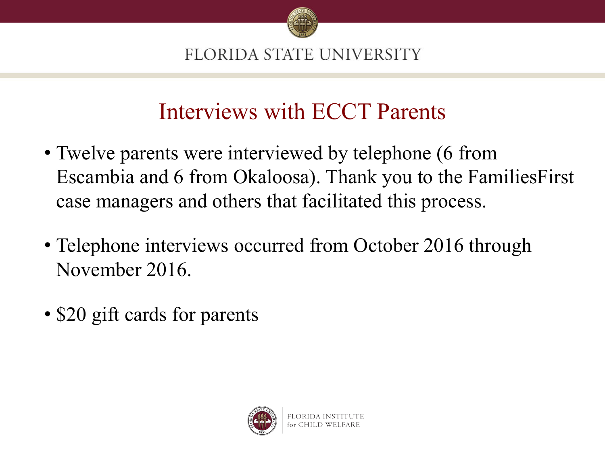

### Interviews with ECCT Parents

- Twelve parents were interviewed by telephone (6 from Escambia and 6 from Okaloosa). Thank you to the FamiliesFirst case managers and others that facilitated this process.
- Telephone interviews occurred from October 2016 through November 2016.
- \$20 gift cards for parents

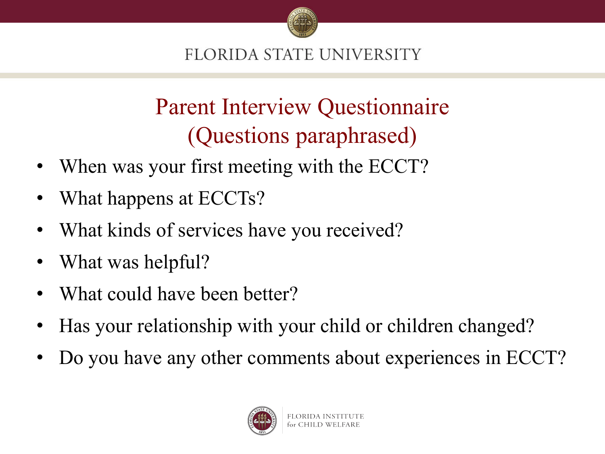

# Parent Interview Questionnaire (Questions paraphrased)

- When was your first meeting with the ECCT?
- What happens at ECCTs?
- What kinds of services have you received?
- What was helpful?
- What could have been better?
- Has your relationship with your child or children changed?
- Do you have any other comments about experiences in ECCT?

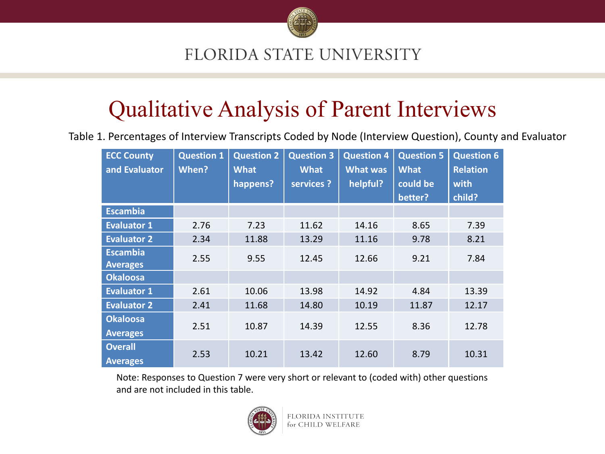

### Qualitative Analysis of Parent Interviews

Table 1. Percentages of Interview Transcripts Coded by Node (Interview Question), County and Evaluator

| <b>ECC County</b><br>and Evaluator | <b>Question 1</b><br>When? | <b>Question 2</b><br><b>What</b> | <b>Question 3</b><br><b>What</b> | <b>Question 4</b><br><b>What was</b> | <b>Question 5</b><br><b>What</b> | <b>Question 6</b><br><b>Relation</b> |
|------------------------------------|----------------------------|----------------------------------|----------------------------------|--------------------------------------|----------------------------------|--------------------------------------|
|                                    |                            | happens?                         | services ?                       | helpful?                             | could be                         | with                                 |
|                                    |                            |                                  |                                  |                                      | better?                          | child?                               |
| <b>Escambia</b>                    |                            |                                  |                                  |                                      |                                  |                                      |
| <b>Evaluator 1</b>                 | 2.76                       | 7.23                             | 11.62                            | 14.16                                | 8.65                             | 7.39                                 |
| <b>Evaluator 2</b>                 | 2.34                       | 11.88                            | 13.29                            | 11.16                                | 9.78                             | 8.21                                 |
| <b>Escambia</b>                    | 2.55                       | 9.55                             | 12.45                            | 12.66                                | 9.21                             | 7.84                                 |
| <b>Averages</b>                    |                            |                                  |                                  |                                      |                                  |                                      |
| <b>Okaloosa</b>                    |                            |                                  |                                  |                                      |                                  |                                      |
| <b>Evaluator 1</b>                 | 2.61                       | 10.06                            | 13.98                            | 14.92                                | 4.84                             | 13.39                                |
| <b>Evaluator 2</b>                 | 2.41                       | 11.68                            | 14.80                            | 10.19                                | 11.87                            | 12.17                                |
| <b>Okaloosa</b>                    |                            |                                  |                                  |                                      |                                  |                                      |
| <b>Averages</b>                    | 2.51                       | 10.87                            | 14.39                            | 12.55                                | 8.36                             | 12.78                                |
| <b>Overall</b>                     | 2.53                       | 10.21                            |                                  |                                      |                                  | 10.31                                |
| <b>Averages</b>                    |                            |                                  | 13.42                            | 12.60                                | 8.79                             |                                      |

Note: Responses to Question 7 were very short or relevant to (coded with) other questions and are not included in this table.

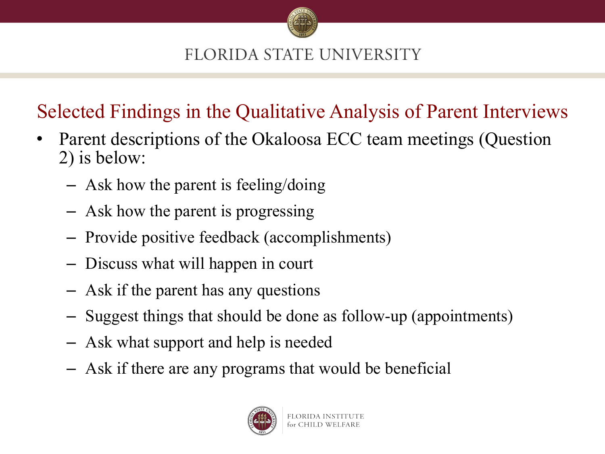

### Selected Findings in the Qualitative Analysis of Parent Interviews

- Parent descriptions of the Okaloosa ECC team meetings (Question 2) is below:
	- Ask how the parent is feeling/doing
	- Ask how the parent is progressing
	- Provide positive feedback (accomplishments)
	- Discuss what will happen in court
	- Ask if the parent has any questions
	- Suggest things that should be done as follow-up (appointments)
	- Ask what support and help is needed
	- Ask if there are any programs that would be beneficial

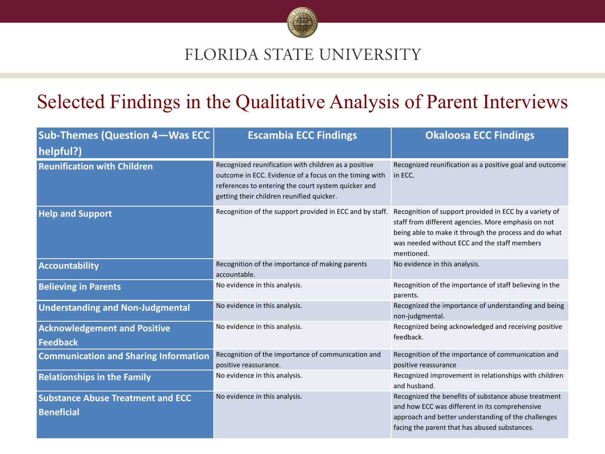

### Selected Findings in the Qualitative Analysis of Parent Interviews

| <b>Sub-Themes (Question 4-Was ECC</b><br>helpful?)            | <b>Escambia ECC Findings</b>                                                                                                                                                                                       | <b>Okaloosa ECC Findings</b>                                                                                                                                                                                                         |
|---------------------------------------------------------------|--------------------------------------------------------------------------------------------------------------------------------------------------------------------------------------------------------------------|--------------------------------------------------------------------------------------------------------------------------------------------------------------------------------------------------------------------------------------|
| <b>Reunification with Children</b>                            | Recognized reunification with children as a positive<br>outcome in ECC. Evidence of a focus on the timing with<br>references to entering the court system quicker and<br>getting their children reunified quicker. | Recognized reunification as a positive goal and outcome<br>in ECC.                                                                                                                                                                   |
| <b>Help and Support</b>                                       | Recognition of the support provided in ECC and by staff.                                                                                                                                                           | Recognition of support provided in ECC by a variety of<br>staff from different agencies. More emphasis on not<br>being able to make it through the process and do what<br>was needed without ECC and the staff members<br>mentioned. |
| <b>Accountability</b>                                         | Recognition of the importance of making parents<br>accountable.                                                                                                                                                    | No evidence in this analysis.                                                                                                                                                                                                        |
| <b>Believing in Parents</b>                                   | No evidence in this analysis.                                                                                                                                                                                      | Recognition of the importance of staff believing in the<br>parents.                                                                                                                                                                  |
| <b>Understanding and Non-Judgmental</b>                       | No evidence in this analysis.                                                                                                                                                                                      | Recognized the importance of understanding and being<br>non-judgmental.                                                                                                                                                              |
| <b>Acknowledgement and Positive</b><br><b>Feedback</b>        | No evidence in this analysis.                                                                                                                                                                                      | Recognized being acknowledged and receiving positive<br>feedback.                                                                                                                                                                    |
| <b>Communication and Sharing Information</b>                  | Recognition of the importance of communication and<br>positive reassurance.                                                                                                                                        | Recognition of the importance of communication and<br>positive reassurance                                                                                                                                                           |
| <b>Relationships in the Family</b>                            | No evidence in this analysis.                                                                                                                                                                                      | Recognized improvement in relationships with children<br>and husband.                                                                                                                                                                |
| <b>Substance Abuse Treatment and ECC</b><br><b>Beneficial</b> | No evidence in this analysis.                                                                                                                                                                                      | Recognized the benefits of substance abuse treatment<br>and how ECC was different in its comprehensive<br>approach and better understanding of the challenges<br>facing the parent that has abused substances.                       |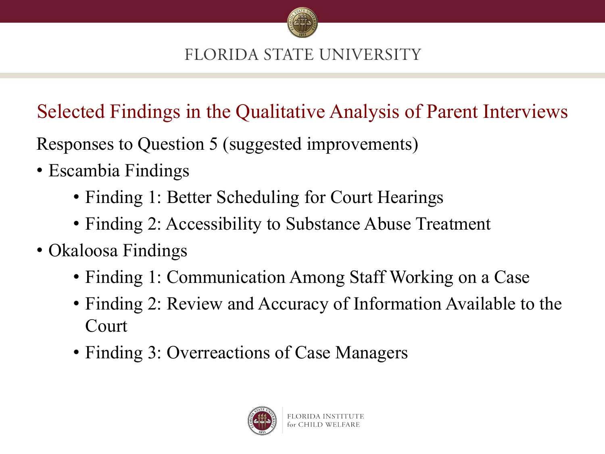

Selected Findings in the Qualitative Analysis of Parent Interviews

Responses to Question 5 (suggested improvements)

- Escambia Findings
	- Finding 1: Better Scheduling for Court Hearings
	- Finding 2: Accessibility to Substance Abuse Treatment
- Okaloosa Findings
	- Finding 1: Communication Among Staff Working on a Case
	- Finding 2: Review and Accuracy of Information Available to the Court
	- Finding 3: Overreactions of Case Managers

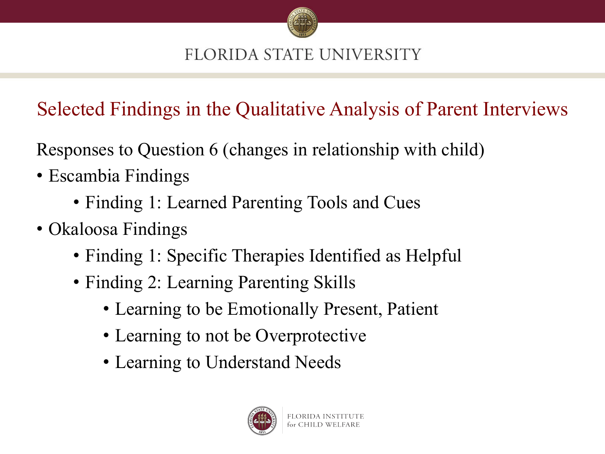

Selected Findings in the Qualitative Analysis of Parent Interviews

Responses to Question 6 (changes in relationship with child)

- Escambia Findings
	- Finding 1: Learned Parenting Tools and Cues
- Okaloosa Findings
	- Finding 1: Specific Therapies Identified as Helpful
	- Finding 2: Learning Parenting Skills
		- Learning to be Emotionally Present, Patient
		- Learning to not be Overprotective
		- Learning to Understand Needs

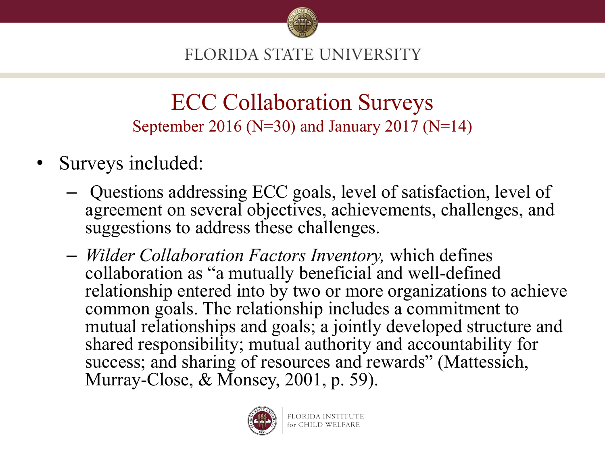

### ECC Collaboration Surveys September 2016 (N=30) and January 2017 (N=14)

- Surveys included:
	- Questions addressing ECC goals, level of satisfaction, level of agreement on several objectives, achievements, challenges, and suggestions to address these challenges.
	- *Wilder Collaboration Factors Inventory,* which defines collaboration as "a mutually beneficial and well-defined relationship entered into by two or more organizations to achieve common goals. The relationship includes a commitment to mutual relationships and goals; a jointly developed structure and shared responsibility; mutual authority and accountability for success; and sharing of resources and rewards" (Mattessich, Murray-Close, & Monsey, 2001, p. 59).

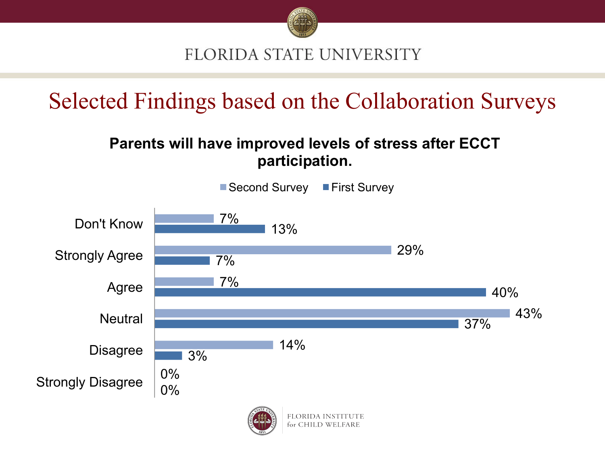

Selected Findings based on the Collaboration Surveys

#### **Parents will have improved levels of stress after ECCT participation.**

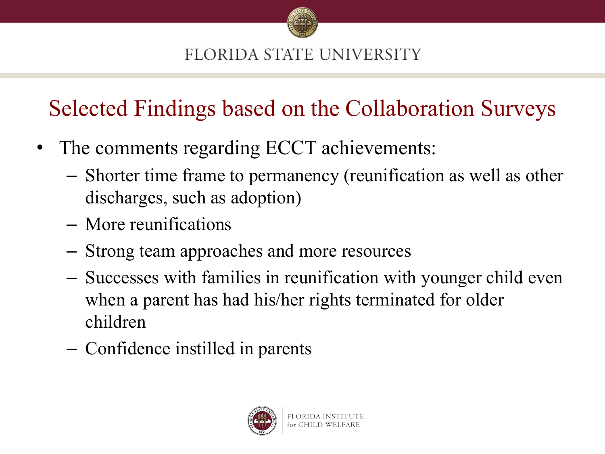

Selected Findings based on the Collaboration Surveys

- The comments regarding ECCT achievements:
	- Shorter time frame to permanency (reunification as well as other discharges, such as adoption)
	- More reunifications
	- Strong team approaches and more resources
	- Successes with families in reunification with younger child even when a parent has had his/her rights terminated for older children
	- Confidence instilled in parents

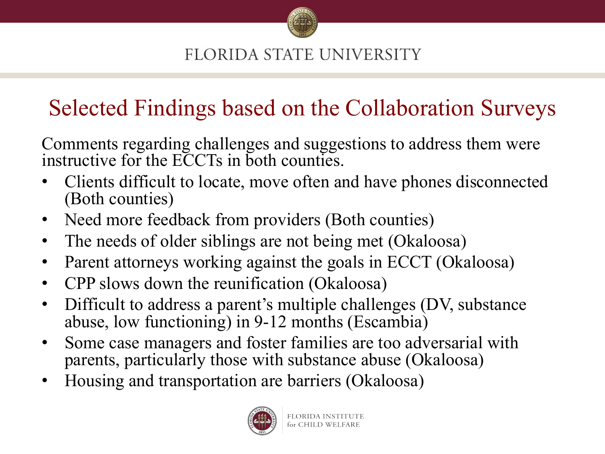

### Selected Findings based on the Collaboration Surveys

Comments regarding challenges and suggestions to address them were instructive for the ECCTs in both counties.

- Clients difficult to locate, move often and have phones disconnected (Both counties)
- Need more feedback from providers (Both counties)
- The needs of older siblings are not being met (Okaloosa)
- Parent attorneys working against the goals in ECCT (Okaloosa)
- CPP slows down the reunification (Okaloosa)
- Difficult to address a parent's multiple challenges (DV, substance abuse, low functioning) in 9-12 months (Escambia)
- Some case managers and foster families are too adversarial with parents, particularly those with substance abuse (Okaloosa)
- Housing and transportation are barriers (Okaloosa)

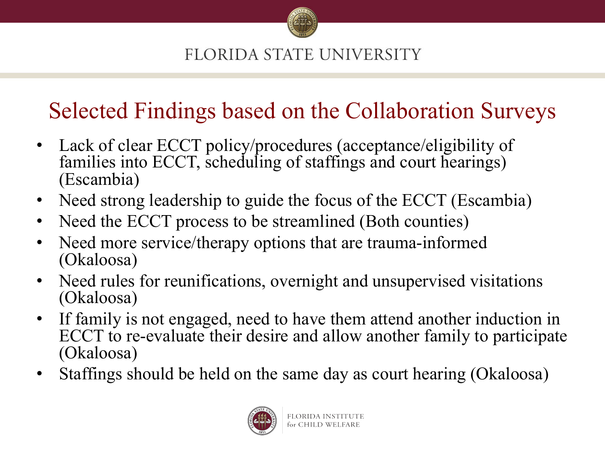

# Selected Findings based on the Collaboration Surveys

- Lack of clear ECCT policy/procedures (acceptance/eligibility of families into ECCT, scheduling of staffings and court hearings) (Escambia)
- Need strong leadership to guide the focus of the ECCT (Escambia)
- Need the ECCT process to be streamlined (Both counties)
- Need more service/therapy options that are trauma-informed (Okaloosa)
- Need rules for reunifications, overnight and unsupervised visitations (Okaloosa)
- If family is not engaged, need to have them attend another induction in ECCT to re-evaluate their desire and allow another family to participate (Okaloosa)
- Staffings should be held on the same day as court hearing (Okaloosa)

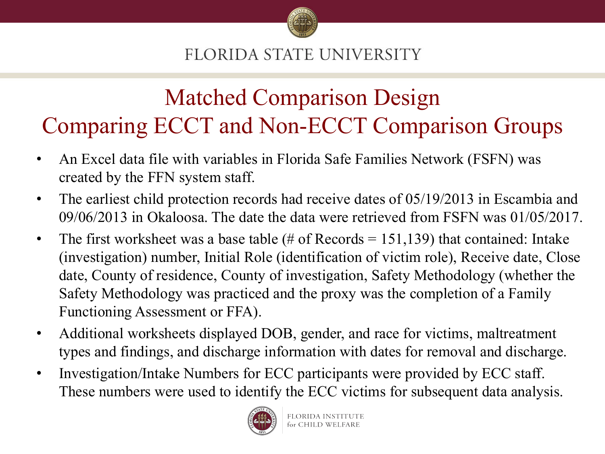

### Matched Comparison Design Comparing ECCT and Non-ECCT Comparison Groups

- An Excel data file with variables in Florida Safe Families Network (FSFN) was created by the FFN system staff.
- The earliest child protection records had receive dates of 05/19/2013 in Escambia and 09/06/2013 in Okaloosa. The date the data were retrieved from FSFN was 01/05/2017.
- The first worksheet was a base table  $(\# \text{ of Records} = 151,139)$  that contained: Intake (investigation) number, Initial Role (identification of victim role), Receive date, Close date, County of residence, County of investigation, Safety Methodology (whether the Safety Methodology was practiced and the proxy was the completion of a Family Functioning Assessment or FFA).
- Additional worksheets displayed DOB, gender, and race for victims, maltreatment types and findings, and discharge information with dates for removal and discharge.
- Investigation/Intake Numbers for ECC participants were provided by ECC staff. These numbers were used to identify the ECC victims for subsequent data analysis.

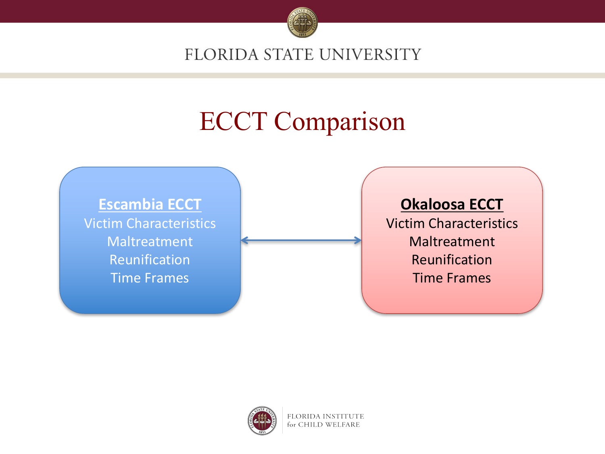

# ECCT Comparison

**Escambia ECCT** Victim Characteristics Maltreatment Reunification **Time Frames** 

#### **Okaloosa ECCT**

Victim Characteristics Maltreatment Reunification **Time Frames** 



**FLORIDA INSTITUTE** for CHILD WELFARE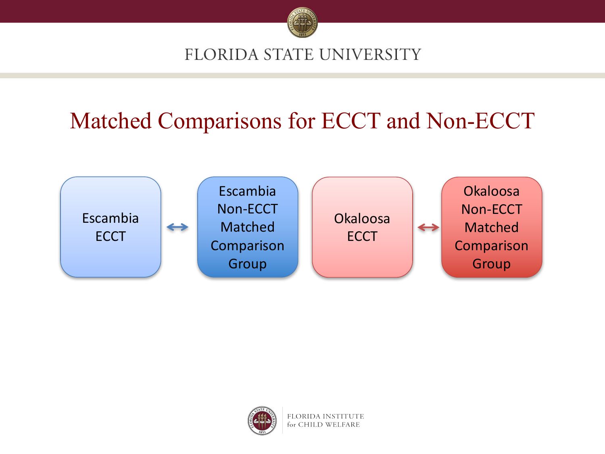

## Matched Comparisons for ECCT and Non-ECCT





**FLORIDA INSTITUTE** for CHILD WELFARE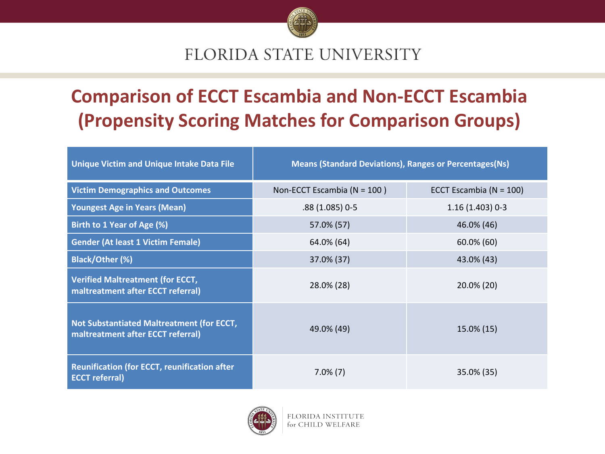

### **Comparison of ECCT Escambia and Non-ECCT Escambia (Propensity Scoring Matches for Comparison Groups)**

| <b>Unique Victim and Unique Intake Data File</b>                               | <b>Means (Standard Deviations), Ranges or Percentages (Ns)</b> |                             |  |  |  |
|--------------------------------------------------------------------------------|----------------------------------------------------------------|-----------------------------|--|--|--|
| <b>Victim Demographics and Outcomes</b>                                        | Non-ECCT Escambia ( $N = 100$ )                                | ECCT Escambia ( $N = 100$ ) |  |  |  |
| <b>Youngest Age in Years (Mean)</b>                                            | .88 (1.085) 0-5                                                | $1.16(1.403)0-3$            |  |  |  |
| Birth to 1 Year of Age (%)                                                     | 57.0% (57)                                                     | 46.0% (46)                  |  |  |  |
| <b>Gender (At least 1 Victim Female)</b>                                       | 64.0% (64)                                                     | $60.0\%$ (60)               |  |  |  |
| <b>Black/Other (%)</b>                                                         | 37.0% (37)                                                     | 43.0% (43)                  |  |  |  |
| <b>Verified Maltreatment (for ECCT,</b><br>maltreatment after ECCT referral)   | 28.0% (28)                                                     | 20.0% (20)                  |  |  |  |
| Not Substantiated Maltreatment (for ECCT,<br>maltreatment after ECCT referral) | 49.0% (49)                                                     | 15.0% (15)                  |  |  |  |
| <b>Reunification (for ECCT, reunification after</b><br><b>ECCT</b> referral)   | $7.0\%$ (7)                                                    | 35.0% (35)                  |  |  |  |

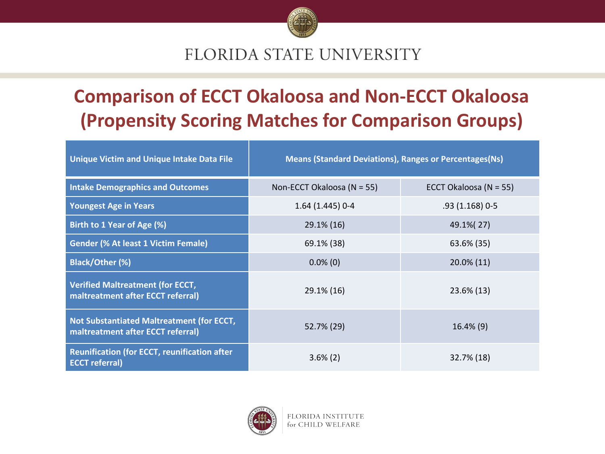

### **Comparison of ECCT Okaloosa and Non-ECCT Okaloosa (Propensity Scoring Matches for Comparison Groups)**

| <b>Unique Victim and Unique Intake Data File</b>                               | <b>Means (Standard Deviations), Ranges or Percentages (Ns)</b> |                        |  |  |  |
|--------------------------------------------------------------------------------|----------------------------------------------------------------|------------------------|--|--|--|
| <b>Intake Demographics and Outcomes</b>                                        | Non-ECCT Okaloosa (N = 55)                                     | ECCT Okaloosa (N = 55) |  |  |  |
| <b>Youngest Age in Years</b>                                                   | 1.64 (1.445) 0-4                                               | $.93(1.168)0-5$        |  |  |  |
| Birth to 1 Year of Age (%)                                                     | 29.1% (16)                                                     | 49.1% (27)             |  |  |  |
| <b>Gender (% At least 1 Victim Female)</b>                                     | 69.1% (38)                                                     | 63.6% (35)             |  |  |  |
| <b>Black/Other (%)</b>                                                         | $0.0\%$ (0)                                                    | 20.0% (11)             |  |  |  |
| <b>Verified Maltreatment (for ECCT,</b><br>maltreatment after ECCT referral)   | 29.1% (16)                                                     | 23.6% (13)             |  |  |  |
| Not Substantiated Maltreatment (for ECCT,<br>maltreatment after ECCT referral) | 52.7% (29)                                                     | $16.4\%$ (9)           |  |  |  |
| <b>Reunification (for ECCT, reunification after</b><br><b>ECCT</b> referral)   | $3.6\%$ (2)                                                    | 32.7% (18)             |  |  |  |



FLORIDA INSTITUTE for CHILD WELFARE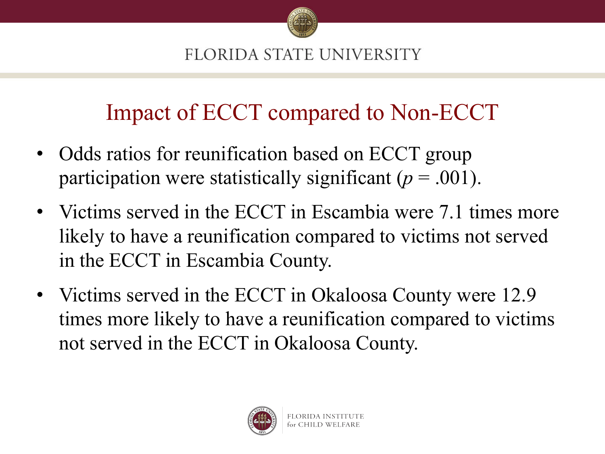

## Impact of ECCT compared to Non-ECCT

- Odds ratios for reunification based on ECCT group participation were statistically significant (*p* = .001).
- Victims served in the ECCT in Escambia were 7.1 times more likely to have a reunification compared to victims not served in the ECCT in Escambia County.
- Victims served in the ECCT in Okaloosa County were 12.9 times more likely to have a reunification compared to victims not served in the ECCT in Okaloosa County.

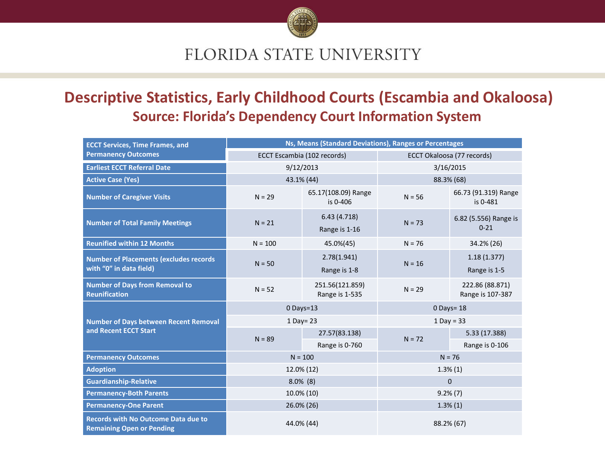

#### **Descriptive Statistics, Early Childhood Courts (Escambia and Okaloosa) Source: Florida's Dependency Court Information System**

| <b>ECCT Services, Time Frames, and</b>                                    | Ns, Means (Standard Deviations), Ranges or Percentages |                                   |                            |                                     |  |
|---------------------------------------------------------------------------|--------------------------------------------------------|-----------------------------------|----------------------------|-------------------------------------|--|
| <b>Permanency Outcomes</b>                                                |                                                        | ECCT Escambia (102 records)       | ECCT Okaloosa (77 records) |                                     |  |
| <b>Earliest ECCT Referral Date</b>                                        |                                                        | 9/12/2013                         | 3/16/2015                  |                                     |  |
| <b>Active Case (Yes)</b>                                                  |                                                        | 43.1% (44)                        | 88.3% (68)                 |                                     |  |
| <b>Number of Caregiver Visits</b>                                         | $N = 29$                                               | 65.17(108.09) Range<br>is 0-406   | $N = 56$                   | 66.73 (91.319) Range<br>is 0-481    |  |
| <b>Number of Total Family Meetings</b>                                    | $N = 21$                                               | 6.43(4.718)<br>Range is 1-16      | $N = 73$                   | 6.82 (5.556) Range is<br>$0 - 21$   |  |
| <b>Reunified within 12 Months</b>                                         | $N = 100$                                              | 45.0%(45)                         | $N = 76$                   | 34.2% (26)                          |  |
| <b>Number of Placements (excludes records)</b><br>with "0" in data field) | $N = 50$                                               | 2.78(1.941)<br>Range is 1-8       | $N = 16$                   | 1.18(1.377)<br>Range is 1-5         |  |
| <b>Number of Days from Removal to</b><br><b>Reunification</b>             | $N = 52$                                               | 251.56(121.859)<br>Range is 1-535 | $N = 29$                   | 222.86 (88.871)<br>Range is 107-387 |  |
|                                                                           |                                                        | $0$ Days=13                       | $0$ Days= 18               |                                     |  |
| <b>Number of Days between Recent Removal</b>                              | 1 Day= 23                                              |                                   | $1$ Day = 33               |                                     |  |
| and Recent ECCT Start                                                     | $N = 89$                                               | 27.57(83.138)                     | $N = 72$                   | 5.33 (17.388)                       |  |
|                                                                           |                                                        | Range is 0-760                    |                            | Range is 0-106                      |  |
| <b>Permanency Outcomes</b>                                                |                                                        | $N = 100$                         | $N = 76$                   |                                     |  |
| <b>Adoption</b>                                                           |                                                        | 12.0% (12)                        | $1.3\%(1)$                 |                                     |  |
| <b>Guardianship-Relative</b>                                              |                                                        | $8.0\%$ (8)                       | $\mathbf 0$                |                                     |  |
| <b>Permanency-Both Parents</b>                                            |                                                        | 10.0% (10)                        | $9.2\%$ $(7)$              |                                     |  |
| <b>Permanency-One Parent</b>                                              |                                                        | 26.0% (26)                        | $1.3\%(1)$                 |                                     |  |
| Records with No Outcome Data due to<br><b>Remaining Open or Pending</b>   |                                                        | 44.0% (44)                        | 88.2% (67)                 |                                     |  |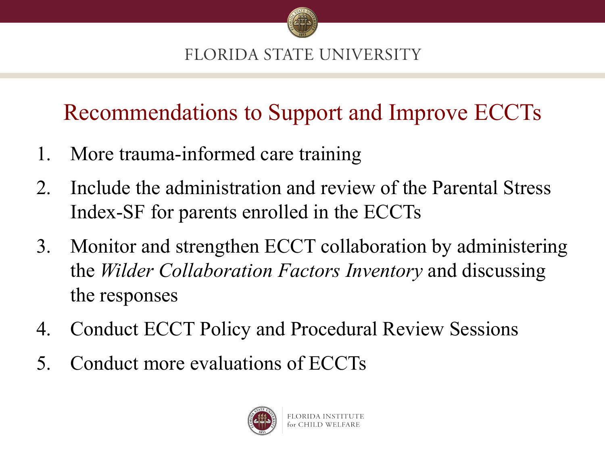

Recommendations to Support and Improve ECCTs

- 1. More trauma-informed care training
- 2. Include the administration and review of the Parental Stress Index-SF for parents enrolled in the ECCTs
- 3. Monitor and strengthen ECCT collaboration by administering the *Wilder Collaboration Factors Inventory* and discussing the responses
- 4. Conduct ECCT Policy and Procedural Review Sessions
- 5. Conduct more evaluations of ECCTs

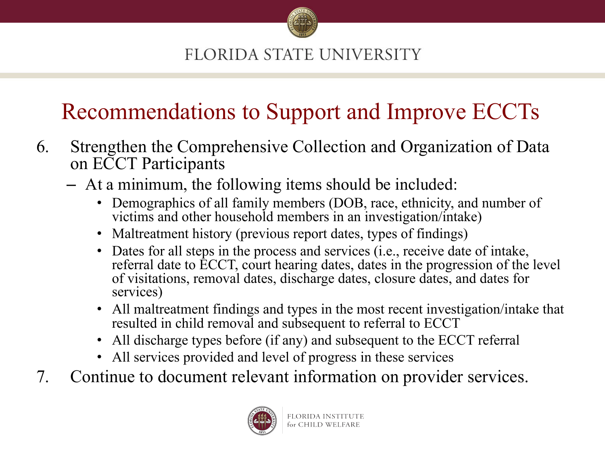

## Recommendations to Support and Improve ECCTs

- 6. Strengthen the Comprehensive Collection and Organization of Data on ECCT Participants
	- At a minimum, the following items should be included:
		- Demographics of all family members (DOB, race, ethnicity, and number of victims and other household members in an investigation/intake)
		- Maltreatment history (previous report dates, types of findings)
		- Dates for all steps in the process and services (i.e., receive date of intake, referral date to ECCT, court hearing dates, dates in the progression of the level of visitations, removal dates, discharge dates, closure dates, and dates for services)
		- All maltreatment findings and types in the most recent investigation/intake that resulted in child removal and subsequent to referral to ECCT
		- All discharge types before (if any) and subsequent to the ECCT referral
		- All services provided and level of progress in these services
- 7. Continue to document relevant information on provider services.